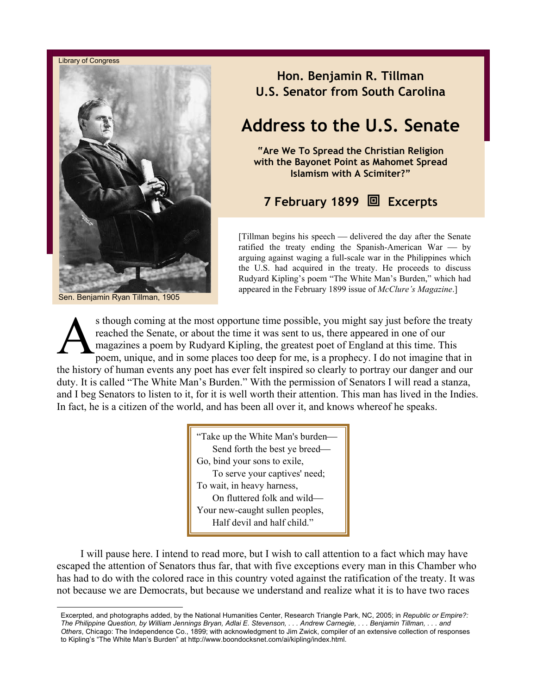

Sen. Benjamin Ryan Tillman, 1905

l

## **Hon. Benjamin R. Tillman U.S. Senator from South Carolina**

## **Address to the U.S. Senate**

**"Are We To Spread the Christian Religion with the Bayonet Point as Mahomet Spread Islamism with A Scimiter?"** 

**7 February 1899 Excerpts** 

[Tillman begins his speech — delivered the day after the Senate ratified the treaty ending the Spanish-American War  $-$  by arguing against waging a full-scale war in the Philippines which the U.S. had acquired in the treaty. He proceeds to discuss Rudyard Kipling's poem "The White Man's Burden," which had appeared in the February 1899 issue of *McClure's Magazine*.[\]\\*](#page-0-0)

s though coming at the most opportune time possible, you might say just before the treaty reached the Senate, or about the time it was sent to us, there appeared in one of our magazines a poem by Rudyard Kipling, the great reached the Senate, or about the time it was sent to us, there appeared in one of our magazines a poem by Rudyard Kipling, the greatest poet of England at this time. This the history of human events any poet has ever felt inspired so clearly to portray our danger and our duty. It is called "The White Man's Burden." With the permission of Senators I will read a stanza, and I beg Senators to listen to it, for it is well worth their attention. This man has lived in the Indies. In fact, he is a citizen of the world, and has been all over it, and knows whereof he speaks.

> "Take up the White Man's burden Send forth the best ye breed Go, bind your sons to exile, To serve your captives' need; To wait, in heavy harness, On fluttered folk and wild Your new-caught sullen peoples, Half devil and half child."

I will pause here. I intend to read more, but I wish to call attention to a fact which may have escaped the attention of Senators thus far, that with five exceptions every man in this Chamber who has had to do with the colored race in this country voted against the ratification of the treaty. It was not because we are Democrats, but because we understand and realize what it is to have two races

<span id="page-0-0"></span><sup>\*</sup> Excerpted, and photographs added, by the National Humanities Center, Research Triangle Park, NC, 2005; in *Republic or Empire?: The Philippine Question, by William Jennings Bryan, Adlai E. Stevenson, . . . Andrew Carnegie, . . . Benjamin Tillman, . . . and Others*, Chicago: The Independence Co., 1899; with acknowledgment to Jim Zwick, compiler of an extensive collection of responses to Kipling's "The White Man's Burden" at http://www.boondocksnet.com/ai/kipling/index.html.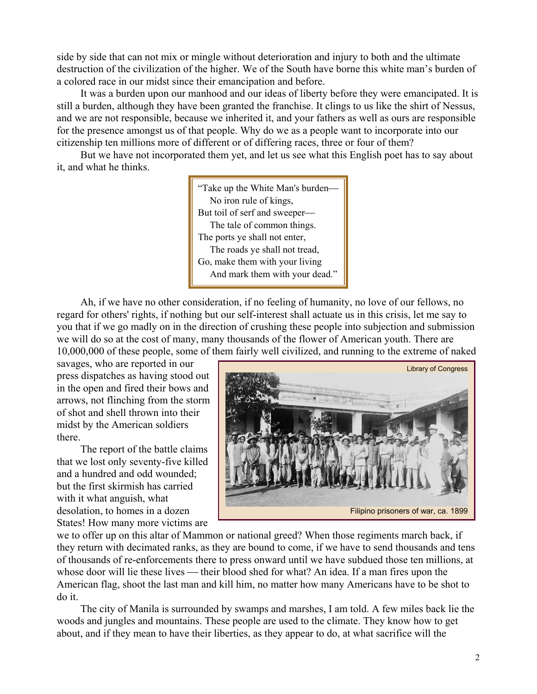side by side that can not mix or mingle without deterioration and injury to both and the ultimate destruction of the civilization of the higher. We of the South have borne this white man's burden of a colored race in our midst since their emancipation and before.

It was a burden upon our manhood and our ideas of liberty before they were emancipated. It is still a burden, although they have been granted the franchise. It clings to us like the shirt of Nessus, and we are not responsible, because we inherited it, and your fathers as well as ours are responsible for the presence amongst us of that people. Why do we as a people want to incorporate into our citizenship ten millions more of different or of differing races, three or four of them?

But we have not incorporated them yet, and let us see what this English poet has to say about it, and what he thinks.

> "Take up the White Man's burden No iron rule of kings, But toil of serf and sweeper The tale of common things. The ports ye shall not enter, The roads ye shall not tread, Go, make them with your living And mark them with your dead."

Ah, if we have no other consideration, if no feeling of humanity, no love of our fellows, no regard for others' rights, if nothing but our self-interest shall actuate us in this crisis, let me say to you that if we go madly on in the direction of crushing these people into subjection and submission we will do so at the cost of many, many thousands of the flower of American youth. There are 10,000,000 of these people, some of them fairly well civilized, and running to the extreme of naked

savages, who are reported in our press dispatches as having stood out in the open and fired their bows and arrows, not flinching from the storm of shot and shell thrown into their midst by the American soldiers there.

The report of the battle claims that we lost only seventy-five killed and a hundred and odd wounded; but the first skirmish has carried with it what anguish, what desolation, to homes in a dozen States! How many more victims are



we to offer up on this altar of Mammon or national greed? When those regiments march back, if they return with decimated ranks, as they are bound to come, if we have to send thousands and tens of thousands of re-enforcements there to press onward until we have subdued those ten millions, at whose door will lie these lives — their blood shed for what? An idea. If a man fires upon the American flag, shoot the last man and kill him, no matter how many Americans have to be shot to do it.

The city of Manila is surrounded by swamps and marshes, I am told. A few miles back lie the woods and jungles and mountains. These people are used to the climate. They know how to get about, and if they mean to have their liberties, as they appear to do, at what sacrifice will the